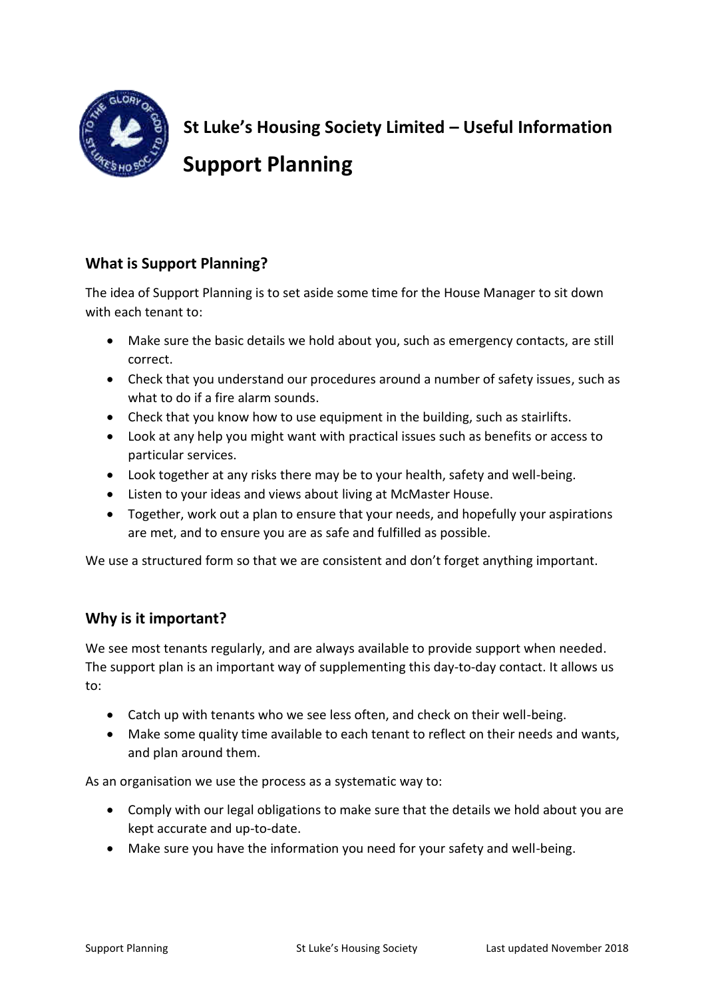

**St Luke's Housing Society Limited – Useful Information Support Planning**

# **What is Support Planning?**

The idea of Support Planning is to set aside some time for the House Manager to sit down with each tenant to:

- Make sure the basic details we hold about you, such as emergency contacts, are still correct.
- Check that you understand our procedures around a number of safety issues, such as what to do if a fire alarm sounds.
- Check that you know how to use equipment in the building, such as stairlifts.
- Look at any help you might want with practical issues such as benefits or access to particular services.
- Look together at any risks there may be to your health, safety and well-being.
- Listen to your ideas and views about living at McMaster House.
- Together, work out a plan to ensure that your needs, and hopefully your aspirations are met, and to ensure you are as safe and fulfilled as possible.

We use a structured form so that we are consistent and don't forget anything important.

# **Why is it important?**

We see most tenants regularly, and are always available to provide support when needed. The support plan is an important way of supplementing this day-to-day contact. It allows us to:

- Catch up with tenants who we see less often, and check on their well-being.
- Make some quality time available to each tenant to reflect on their needs and wants, and plan around them.

As an organisation we use the process as a systematic way to:

- Comply with our legal obligations to make sure that the details we hold about you are kept accurate and up-to-date.
- Make sure you have the information you need for your safety and well-being.